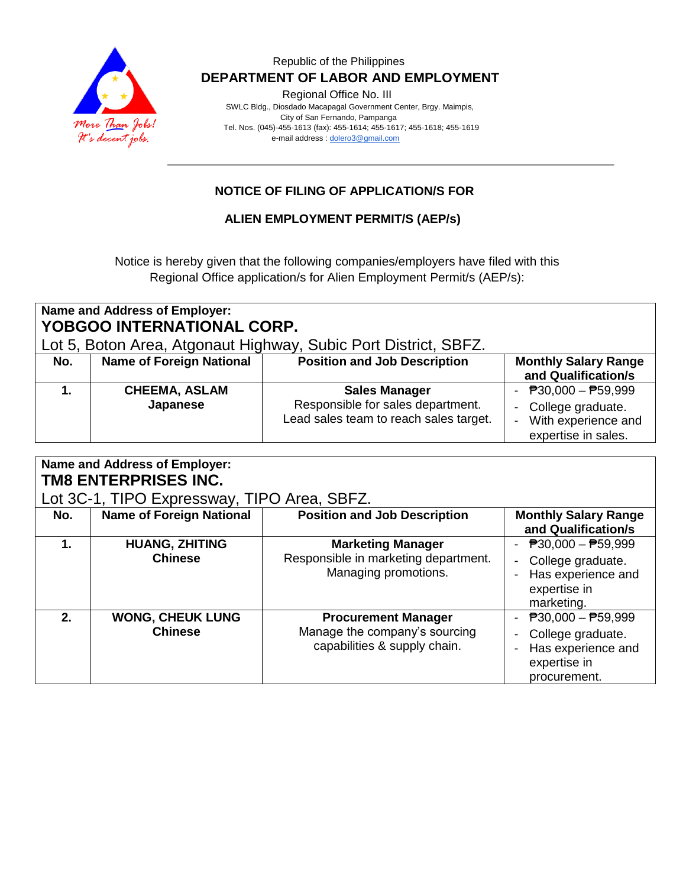

### Republic of the Philippines  **DEPARTMENT OF LABOR AND EMPLOYMENT**

Regional Office No. III

 SWLC Bldg., Diosdado Macapagal Government Center, Brgy. Maimpis, City of San Fernando, Pampanga Tel. Nos. (045)-455-1613 (fax): 455-1614; 455-1617; 455-1618; 455-1619 e-mail address [: dolero3@gmail.com](mailto:dolero3@gmail.com)

# **NOTICE OF FILING OF APPLICATION/S FOR**

**ALIEN EMPLOYMENT PERMIT/S (AEP/s)**

Notice is hereby given that the following companies/employers have filed with this Regional Office application/s for Alien Employment Permit/s (AEP/s):

| Name and Address of Employer:<br><b>YOBGOO INTERNATIONAL CORP.</b><br>Lot 5, Boton Area, Atgonaut Highway, Subic Port District, SBFZ. |                                  |                                                                                                     |                                                                                                                  |  |  |  |  |
|---------------------------------------------------------------------------------------------------------------------------------------|----------------------------------|-----------------------------------------------------------------------------------------------------|------------------------------------------------------------------------------------------------------------------|--|--|--|--|
| No.                                                                                                                                   | <b>Name of Foreign National</b>  | <b>Position and Job Description</b>                                                                 | <b>Monthly Salary Range</b><br>and Qualification/s                                                               |  |  |  |  |
|                                                                                                                                       | <b>CHEEMA, ASLAM</b><br>Japanese | <b>Sales Manager</b><br>Responsible for sales department.<br>Lead sales team to reach sales target. | - $\overline{P}30,000 - \overline{P}59,999$<br>- College graduate.<br>With experience and<br>expertise in sales. |  |  |  |  |

| Name and Address of Employer:<br><b>TM8 ENTERPRISES INC.</b> |                                           |                                                                                             |                                                                                                                      |  |  |  |
|--------------------------------------------------------------|-------------------------------------------|---------------------------------------------------------------------------------------------|----------------------------------------------------------------------------------------------------------------------|--|--|--|
| Lot 3C-1, TIPO Expressway, TIPO Area, SBFZ.                  |                                           |                                                                                             |                                                                                                                      |  |  |  |
| No.                                                          | <b>Name of Foreign National</b>           | <b>Position and Job Description</b>                                                         | <b>Monthly Salary Range</b><br>and Qualification/s                                                                   |  |  |  |
| 1.                                                           | <b>HUANG, ZHITING</b><br><b>Chinese</b>   | <b>Marketing Manager</b><br>Responsible in marketing department.<br>Managing promotions.    | - $P30,000 - P59,999$<br>College graduate.<br>Has experience and<br>expertise in<br>marketing.                       |  |  |  |
| $2-$                                                         | <b>WONG, CHEUK LUNG</b><br><b>Chinese</b> | <b>Procurement Manager</b><br>Manage the company's sourcing<br>capabilities & supply chain. | $\overline{P}30,000 - \overline{P}59,999$<br>College graduate.<br>Has experience and<br>expertise in<br>procurement. |  |  |  |